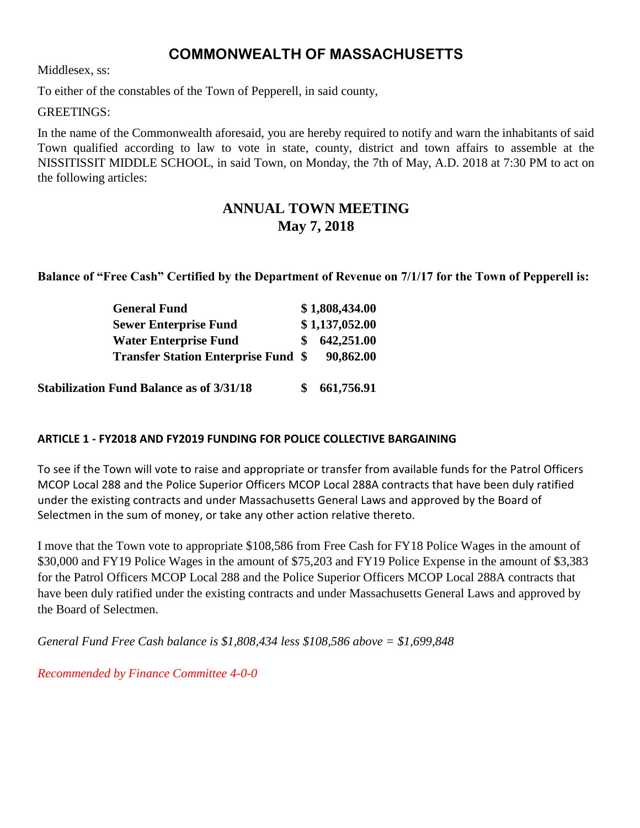# **COMMONWEALTH OF MASSACHUSETTS**

Middlesex, ss:

To either of the constables of the Town of Pepperell, in said county,

GREETINGS:

In the name of the Commonwealth aforesaid, you are hereby required to notify and warn the inhabitants of said Town qualified according to law to vote in state, county, district and town affairs to assemble at the NISSITISSIT MIDDLE SCHOOL, in said Town, on Monday, the 7th of May, A.D. 2018 at 7:30 PM to act on the following articles:

# **ANNUAL TOWN MEETING May 7, 2018**

**Balance of "Free Cash" Certified by the Department of Revenue on 7/1/17 for the Town of Pepperell is:**

| <b>General Fund</b>                             | \$1,808,434.00 |
|-------------------------------------------------|----------------|
| <b>Sewer Enterprise Fund</b>                    | \$1,137,052.00 |
| <b>Water Enterprise Fund</b>                    | 642,251.00     |
| <b>Transfer Station Enterprise Fund \$</b>      | 90,862.00      |
| <b>Stabilization Fund Balance as of 3/31/18</b> | 661,756.91     |

#### **ARTICLE 1 - FY2018 AND FY2019 FUNDING FOR POLICE COLLECTIVE BARGAINING**

To see if the Town will vote to raise and appropriate or transfer from available funds for the Patrol Officers MCOP Local 288 and the Police Superior Officers MCOP Local 288A contracts that have been duly ratified under the existing contracts and under Massachusetts General Laws and approved by the Board of Selectmen in the sum of money, or take any other action relative thereto.

I move that the Town vote to appropriate \$108,586 from Free Cash for FY18 Police Wages in the amount of \$30,000 and FY19 Police Wages in the amount of \$75,203 and FY19 Police Expense in the amount of \$3,383 for the Patrol Officers MCOP Local 288 and the Police Superior Officers MCOP Local 288A contracts that have been duly ratified under the existing contracts and under Massachusetts General Laws and approved by the Board of Selectmen.

*General Fund Free Cash balance is \$1,808,434 less \$108,586 above = \$1,699,848*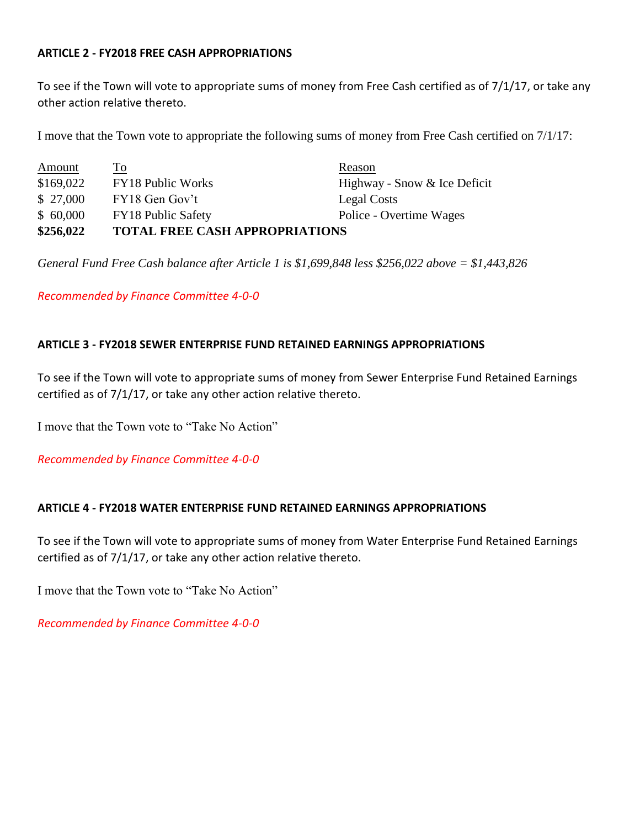#### **ARTICLE 2 - FY2018 FREE CASH APPROPRIATIONS**

To see if the Town will vote to appropriate sums of money from Free Cash certified as of 7/1/17, or take any other action relative thereto.

I move that the Town vote to appropriate the following sums of money from Free Cash certified on 7/1/17:

| \$256,022 | <b>TOTAL FREE CASH APPROPRIATIONS</b> |                              |
|-----------|---------------------------------------|------------------------------|
| \$60,000  | <b>FY18 Public Safety</b>             | Police - Overtime Wages      |
| \$27,000  | FY18 Gen Gov't                        | Legal Costs                  |
| \$169,022 | <b>FY18 Public Works</b>              | Highway - Snow & Ice Deficit |
| Amount    | $\Gamma$ <sup>O</sup>                 | Reason                       |

*General Fund Free Cash balance after Article 1 is \$1,699,848 less \$256,022 above = \$1,443,826*

*Recommended by Finance Committee 4-0-0*

#### **ARTICLE 3 - FY2018 SEWER ENTERPRISE FUND RETAINED EARNINGS APPROPRIATIONS**

To see if the Town will vote to appropriate sums of money from Sewer Enterprise Fund Retained Earnings certified as of 7/1/17, or take any other action relative thereto.

I move that the Town vote to "Take No Action"

*Recommended by Finance Committee 4-0-0*

#### **ARTICLE 4 - FY2018 WATER ENTERPRISE FUND RETAINED EARNINGS APPROPRIATIONS**

To see if the Town will vote to appropriate sums of money from Water Enterprise Fund Retained Earnings certified as of 7/1/17, or take any other action relative thereto.

I move that the Town vote to "Take No Action"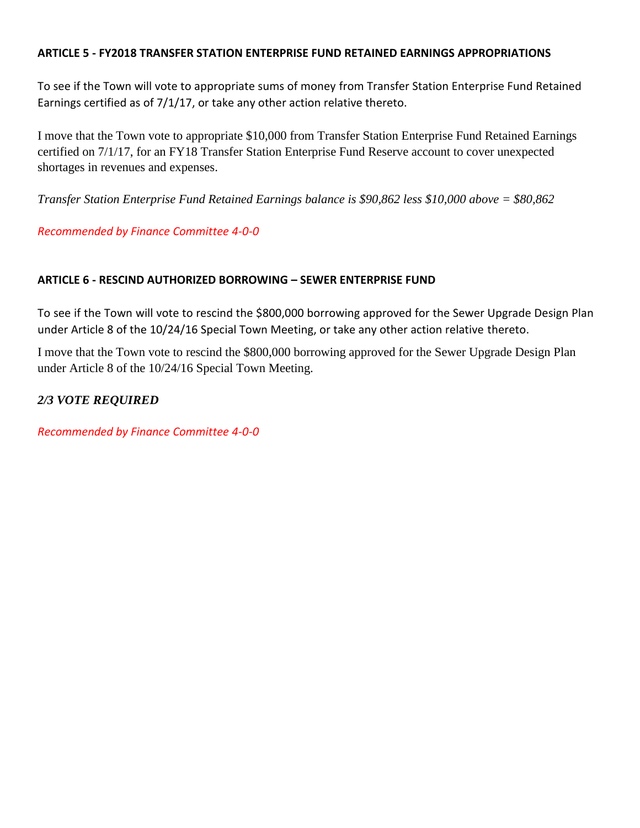#### **ARTICLE 5 - FY2018 TRANSFER STATION ENTERPRISE FUND RETAINED EARNINGS APPROPRIATIONS**

To see if the Town will vote to appropriate sums of money from Transfer Station Enterprise Fund Retained Earnings certified as of 7/1/17, or take any other action relative thereto.

I move that the Town vote to appropriate \$10,000 from Transfer Station Enterprise Fund Retained Earnings certified on 7/1/17, for an FY18 Transfer Station Enterprise Fund Reserve account to cover unexpected shortages in revenues and expenses.

*Transfer Station Enterprise Fund Retained Earnings balance is \$90,862 less \$10,000 above = \$80,862*

*Recommended by Finance Committee 4-0-0*

## **ARTICLE 6 - RESCIND AUTHORIZED BORROWING – SEWER ENTERPRISE FUND**

To see if the Town will vote to rescind the \$800,000 borrowing approved for the Sewer Upgrade Design Plan under Article 8 of the 10/24/16 Special Town Meeting, or take any other action relative thereto.

I move that the Town vote to rescind the \$800,000 borrowing approved for the Sewer Upgrade Design Plan under Article 8 of the 10/24/16 Special Town Meeting.

*2/3 VOTE REQUIRED*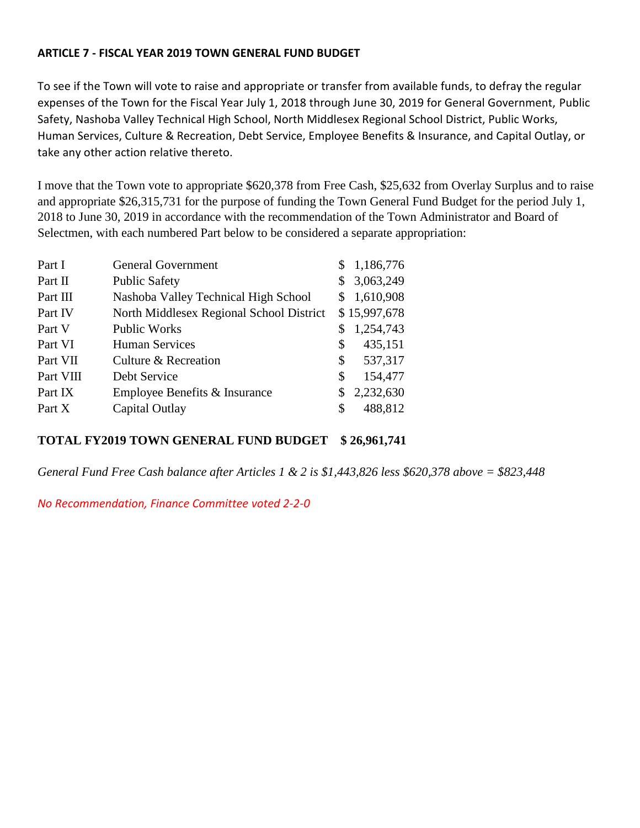#### **ARTICLE 7 - FISCAL YEAR 2019 TOWN GENERAL FUND BUDGET**

To see if the Town will vote to raise and appropriate or transfer from available funds, to defray the regular expenses of the Town for the Fiscal Year July 1, 2018 through June 30, 2019 for General Government, Public Safety, Nashoba Valley Technical High School, North Middlesex Regional School District, Public Works, Human Services, Culture & Recreation, Debt Service, Employee Benefits & Insurance, and Capital Outlay, or take any other action relative thereto.

I move that the Town vote to appropriate \$620,378 from Free Cash, \$25,632 from Overlay Surplus and to raise and appropriate \$26,315,731 for the purpose of funding the Town General Fund Budget for the period July 1, 2018 to June 30, 2019 in accordance with the recommendation of the Town Administrator and Board of Selectmen, with each numbered Part below to be considered a separate appropriation:

| Part I    | <b>General Government</b>                |    | \$1,186,776  |
|-----------|------------------------------------------|----|--------------|
| Part II   | <b>Public Safety</b>                     | \$ | 3,063,249    |
| Part III  | Nashoba Valley Technical High School     |    | \$1,610,908  |
| Part IV   | North Middlesex Regional School District |    | \$15,997,678 |
| Part V    | <b>Public Works</b>                      |    | 1,254,743    |
| Part VI   | <b>Human Services</b>                    | \$ | 435,151      |
| Part VII  | Culture & Recreation                     | S. | 537,317      |
| Part VIII | Debt Service                             | \$ | 154,477      |
| Part IX   | Employee Benefits & Insurance            | S. | 2,232,630    |
| Part X    | Capital Outlay                           | S  | 488,812      |

#### **TOTAL FY2019 TOWN GENERAL FUND BUDGET \$ 26,961,741**

*General Fund Free Cash balance after Articles 1 & 2 is \$1,443,826 less \$620,378 above = \$823,448*

*No Recommendation, Finance Committee voted 2-2-0*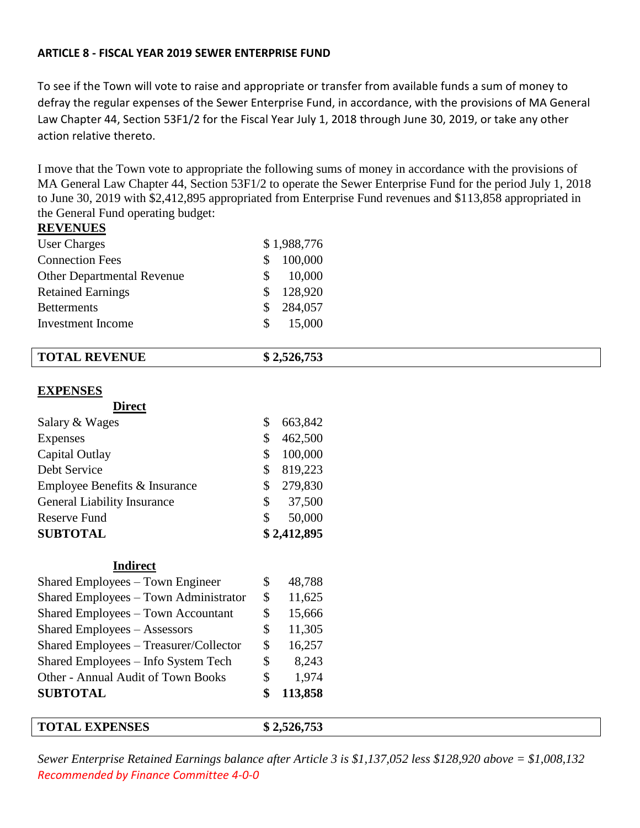#### **ARTICLE 8 - FISCAL YEAR 2019 SEWER ENTERPRISE FUND**

To see if the Town will vote to raise and appropriate or transfer from available funds a sum of money to defray the regular expenses of the Sewer Enterprise Fund, in accordance, with the provisions of MA General Law Chapter 44, Section 53F1/2 for the Fiscal Year July 1, 2018 through June 30, 2019, or take any other action relative thereto.

I move that the Town vote to appropriate the following sums of money in accordance with the provisions of MA General Law Chapter 44, Section 53F1/2 to operate the Sewer Enterprise Fund for the period July 1, 2018 to June 30, 2019 with \$2,412,895 appropriated from Enterprise Fund revenues and \$113,858 appropriated in the General Fund operating budget: **REVENUES**

| <b>TOTAL EXPENSES</b>                     | \$2,526,753   |  |
|-------------------------------------------|---------------|--|
| <b>SUBTOTAL</b>                           | \$<br>113,858 |  |
| Other - Annual Audit of Town Books        | \$<br>1,974   |  |
| Shared Employees - Info System Tech       | \$<br>8,243   |  |
| Shared Employees - Treasurer/Collector    | \$<br>16,257  |  |
| <b>Shared Employees - Assessors</b>       | \$<br>11,305  |  |
| <b>Shared Employees - Town Accountant</b> | \$<br>15,666  |  |
| Shared Employees - Town Administrator     | \$<br>11,625  |  |
| Shared Employees - Town Engineer          | \$<br>48,788  |  |
| <b>Indirect</b>                           |               |  |
| <b>SUBTOTAL</b>                           | \$2,412,895   |  |
| <b>Reserve Fund</b>                       | \$<br>50,000  |  |
| <b>General Liability Insurance</b>        | \$<br>37,500  |  |
| Employee Benefits & Insurance             | \$<br>279,830 |  |
| Debt Service                              | \$<br>819,223 |  |
| Capital Outlay                            | \$<br>100,000 |  |
| Expenses                                  | \$<br>462,500 |  |
| Salary & Wages                            | \$<br>663,842 |  |
| <b>EXPENSES</b><br><b>Direct</b>          |               |  |
| <b>TOTAL REVENUE</b>                      | \$2,526,753   |  |
| Investment Income                         | \$<br>15,000  |  |
| <b>Betterments</b>                        | \$<br>284,057 |  |
| <b>Retained Earnings</b>                  | \$<br>128,920 |  |
| Other Departmental Revenue                | \$<br>10,000  |  |
| <b>Connection Fees</b>                    | \$<br>100,000 |  |
| <b>User Charges</b>                       | \$1,988,776   |  |
| <b>IVE A ET JOE'D</b>                     |               |  |

*Sewer Enterprise Retained Earnings balance after Article 3 is \$1,137,052 less \$128,920 above = \$1,008,132 Recommended by Finance Committee 4-0-0*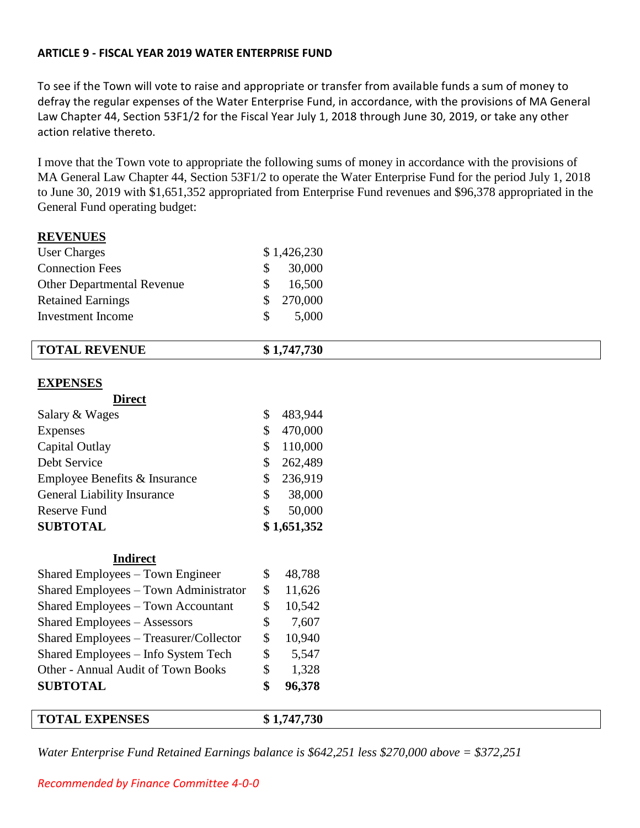#### **ARTICLE 9 - FISCAL YEAR 2019 WATER ENTERPRISE FUND**

**REVENUES**

To see if the Town will vote to raise and appropriate or transfer from available funds a sum of money to defray the regular expenses of the Water Enterprise Fund, in accordance, with the provisions of MA General Law Chapter 44, Section 53F1/2 for the Fiscal Year July 1, 2018 through June 30, 2019, or take any other action relative thereto.

I move that the Town vote to appropriate the following sums of money in accordance with the provisions of MA General Law Chapter 44, Section 53F1/2 to operate the Water Enterprise Fund for the period July 1, 2018 to June 30, 2019 with \$1,651,352 appropriated from Enterprise Fund revenues and \$96,378 appropriated in the General Fund operating budget:

| \$<br>\$<br>\$<br>\$<br>\$<br>\$<br>\$<br>\$ | 48,788<br>11,626<br>10,542<br>7,607<br>10,940<br>5,547<br>1,328<br>96,378 |                                                                                   |  |  |
|----------------------------------------------|---------------------------------------------------------------------------|-----------------------------------------------------------------------------------|--|--|
|                                              |                                                                           |                                                                                   |  |  |
|                                              |                                                                           |                                                                                   |  |  |
|                                              |                                                                           |                                                                                   |  |  |
|                                              |                                                                           |                                                                                   |  |  |
|                                              |                                                                           |                                                                                   |  |  |
|                                              |                                                                           |                                                                                   |  |  |
|                                              |                                                                           |                                                                                   |  |  |
|                                              |                                                                           |                                                                                   |  |  |
|                                              |                                                                           |                                                                                   |  |  |
|                                              |                                                                           |                                                                                   |  |  |
| \$                                           | 50,000                                                                    |                                                                                   |  |  |
| \$                                           | 38,000                                                                    |                                                                                   |  |  |
| \$                                           | 236,919                                                                   |                                                                                   |  |  |
| \$                                           | 262,489                                                                   |                                                                                   |  |  |
| \$                                           | 110,000                                                                   |                                                                                   |  |  |
| \$                                           | 470,000                                                                   |                                                                                   |  |  |
| \$                                           | 483,944                                                                   |                                                                                   |  |  |
|                                              |                                                                           |                                                                                   |  |  |
|                                              |                                                                           |                                                                                   |  |  |
|                                              |                                                                           |                                                                                   |  |  |
|                                              |                                                                           |                                                                                   |  |  |
|                                              |                                                                           |                                                                                   |  |  |
|                                              |                                                                           |                                                                                   |  |  |
|                                              |                                                                           |                                                                                   |  |  |
|                                              |                                                                           |                                                                                   |  |  |
|                                              |                                                                           |                                                                                   |  |  |
|                                              | \$<br>\$<br>\$<br>\$                                                      | \$1,426,230<br>30,000<br>16,500<br>270,000<br>5,000<br>\$1,747,730<br>\$1,651,352 |  |  |

*Water Enterprise Fund Retained Earnings balance is \$642,251 less \$270,000 above = \$372,251*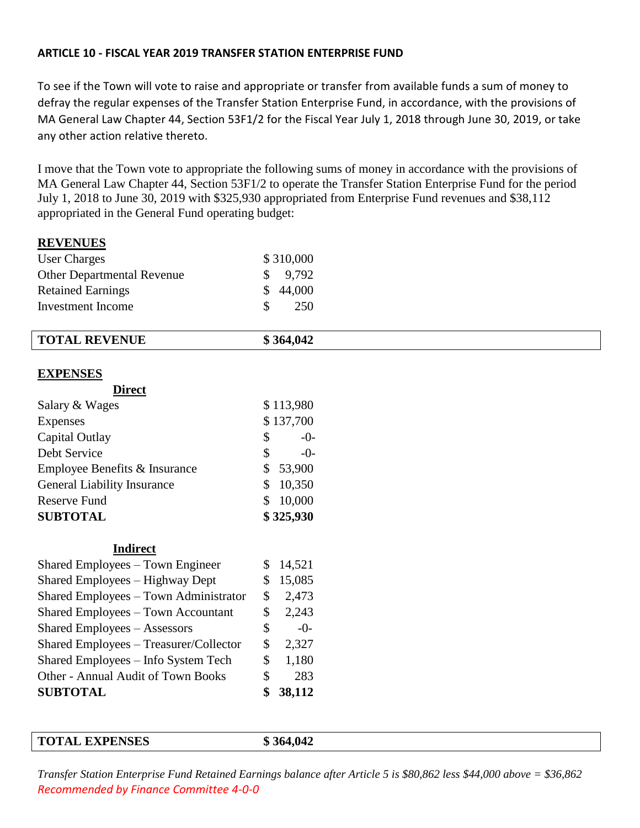#### **ARTICLE 10 - FISCAL YEAR 2019 TRANSFER STATION ENTERPRISE FUND**

To see if the Town will vote to raise and appropriate or transfer from available funds a sum of money to defray the regular expenses of the Transfer Station Enterprise Fund, in accordance, with the provisions of MA General Law Chapter 44, Section 53F1/2 for the Fiscal Year July 1, 2018 through June 30, 2019, or take any other action relative thereto.

I move that the Town vote to appropriate the following sums of money in accordance with the provisions of MA General Law Chapter 44, Section 53F1/2 to operate the Transfer Station Enterprise Fund for the period July 1, 2018 to June 30, 2019 with \$325,930 appropriated from Enterprise Fund revenues and \$38,112 appropriated in the General Fund operating budget:

## **REVENUES**

| <b>TOTAL EXPENSES</b>                     | \$364,042    |  |
|-------------------------------------------|--------------|--|
|                                           |              |  |
| <b>SUBTOTAL</b>                           | \$<br>38,112 |  |
| Other - Annual Audit of Town Books        | \$<br>283    |  |
| Shared Employees - Info System Tech       | \$<br>1,180  |  |
| Shared Employees - Treasurer/Collector    | \$<br>2,327  |  |
| <b>Shared Employees - Assessors</b>       | \$<br>$-0-$  |  |
| <b>Shared Employees – Town Accountant</b> | \$<br>2,243  |  |
| Shared Employees - Town Administrator     | \$<br>2,473  |  |
| Shared Employees - Highway Dept           | \$<br>15,085 |  |
| Shared Employees - Town Engineer          | \$<br>14,521 |  |
| <b>Indirect</b>                           |              |  |
| <b>SUBTOTAL</b>                           | \$325,930    |  |
| <b>Reserve Fund</b>                       | \$<br>10,000 |  |
| <b>General Liability Insurance</b>        | \$<br>10,350 |  |
| Employee Benefits & Insurance             | \$<br>53,900 |  |
| Debt Service                              | \$<br>$-0-$  |  |
| Capital Outlay                            | \$<br>$-0-$  |  |
| Expenses                                  | \$137,700    |  |
| Salary & Wages                            | \$113,980    |  |
| <b>Direct</b>                             |              |  |
| <b>EXPENSES</b>                           |              |  |
| <b>TOTAL REVENUE</b>                      | \$364,042    |  |
|                                           |              |  |
| <b>Investment Income</b>                  | \$<br>250    |  |
| <b>Retained Earnings</b>                  | \$<br>44,000 |  |
| <b>Other Departmental Revenue</b>         | \$<br>9,792  |  |
| <b>User Charges</b>                       | \$310,000    |  |

*Transfer Station Enterprise Fund Retained Earnings balance after Article 5 is \$80,862 less \$44,000 above = \$36,862 Recommended by Finance Committee 4-0-0*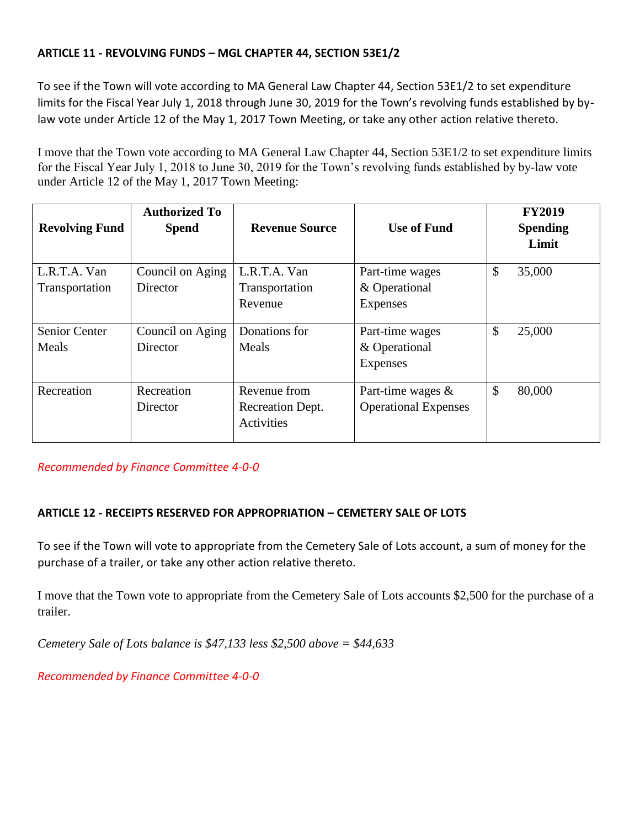## **ARTICLE 11 - REVOLVING FUNDS – MGL CHAPTER 44, SECTION 53E1/2**

To see if the Town will vote according to MA General Law Chapter 44, Section 53E1/2 to set expenditure limits for the Fiscal Year July 1, 2018 through June 30, 2019 for the Town's revolving funds established by bylaw vote under Article 12 of the May 1, 2017 Town Meeting, or take any other action relative thereto.

I move that the Town vote according to MA General Law Chapter 44, Section 53E1/2 to set expenditure limits for the Fiscal Year July 1, 2018 to June 30, 2019 for the Town's revolving funds established by by-law vote under Article 12 of the May 1, 2017 Town Meeting:

| <b>Revolving Fund</b> | <b>Authorized To</b><br><b>Spend</b> | <b>Revenue Source</b>                 | <b>Use of Fund</b>          | <b>FY2019</b><br><b>Spending</b><br>Limit |
|-----------------------|--------------------------------------|---------------------------------------|-----------------------------|-------------------------------------------|
| L.R.T.A. Van          | Council on Aging                     | L.R.T.A. Van                          | Part-time wages             | \$<br>35,000                              |
| Transportation        | Director                             | Transportation                        | & Operational               |                                           |
|                       |                                      | Revenue                               | Expenses                    |                                           |
| Senior Center         | Council on Aging                     | Donations for                         | Part-time wages             | \$<br>25,000                              |
| Meals                 | Director                             | Meals                                 | & Operational               |                                           |
|                       |                                      |                                       | Expenses                    |                                           |
| Recreation            | Recreation                           | Revenue from                          | Part-time wages $\&$        | \$<br>80,000                              |
|                       | Director                             | Recreation Dept.<br><b>Activities</b> | <b>Operational Expenses</b> |                                           |

*Recommended by Finance Committee 4-0-0*

## **ARTICLE 12 - RECEIPTS RESERVED FOR APPROPRIATION – CEMETERY SALE OF LOTS**

To see if the Town will vote to appropriate from the Cemetery Sale of Lots account, a sum of money for the purchase of a trailer, or take any other action relative thereto.

I move that the Town vote to appropriate from the Cemetery Sale of Lots accounts \$2,500 for the purchase of a trailer.

*Cemetery Sale of Lots balance is \$47,133 less \$2,500 above = \$44,633*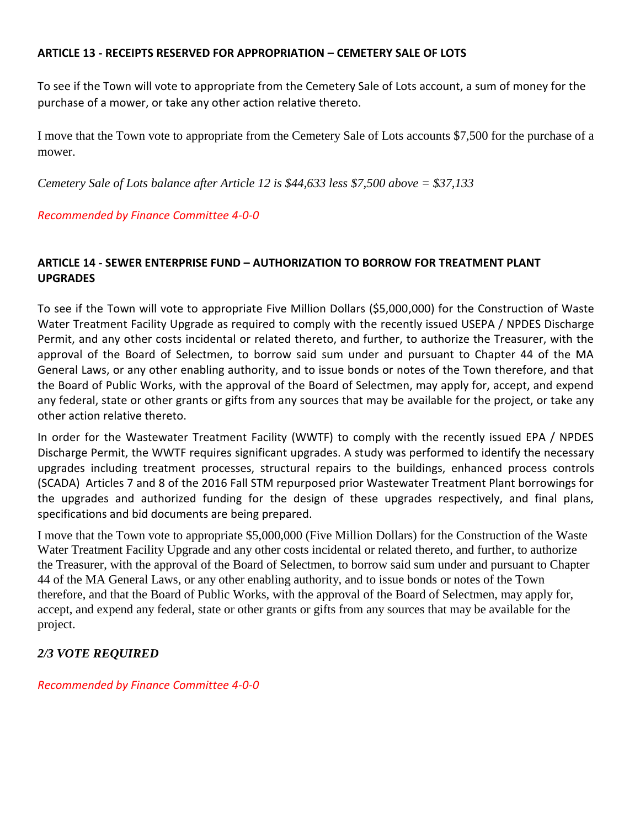#### **ARTICLE 13 - RECEIPTS RESERVED FOR APPROPRIATION – CEMETERY SALE OF LOTS**

To see if the Town will vote to appropriate from the Cemetery Sale of Lots account, a sum of money for the purchase of a mower, or take any other action relative thereto.

I move that the Town vote to appropriate from the Cemetery Sale of Lots accounts \$7,500 for the purchase of a mower.

*Cemetery Sale of Lots balance after Article 12 is \$44,633 less \$7,500 above = \$37,133*

#### *Recommended by Finance Committee 4-0-0*

## **ARTICLE 14 - SEWER ENTERPRISE FUND – AUTHORIZATION TO BORROW FOR TREATMENT PLANT UPGRADES**

To see if the Town will vote to appropriate Five Million Dollars (\$5,000,000) for the Construction of Waste Water Treatment Facility Upgrade as required to comply with the recently issued USEPA / NPDES Discharge Permit, and any other costs incidental or related thereto, and further, to authorize the Treasurer, with the approval of the Board of Selectmen, to borrow said sum under and pursuant to Chapter 44 of the MA General Laws, or any other enabling authority, and to issue bonds or notes of the Town therefore, and that the Board of Public Works, with the approval of the Board of Selectmen, may apply for, accept, and expend any federal, state or other grants or gifts from any sources that may be available for the project, or take any other action relative thereto.

In order for the Wastewater Treatment Facility (WWTF) to comply with the recently issued EPA / NPDES Discharge Permit, the WWTF requires significant upgrades. A study was performed to identify the necessary upgrades including treatment processes, structural repairs to the buildings, enhanced process controls (SCADA) Articles 7 and 8 of the 2016 Fall STM repurposed prior Wastewater Treatment Plant borrowings for the upgrades and authorized funding for the design of these upgrades respectively, and final plans, specifications and bid documents are being prepared.

I move that the Town vote to appropriate \$5,000,000 (Five Million Dollars) for the Construction of the Waste Water Treatment Facility Upgrade and any other costs incidental or related thereto, and further, to authorize the Treasurer, with the approval of the Board of Selectmen, to borrow said sum under and pursuant to Chapter 44 of the MA General Laws, or any other enabling authority, and to issue bonds or notes of the Town therefore, and that the Board of Public Works, with the approval of the Board of Selectmen, may apply for, accept, and expend any federal, state or other grants or gifts from any sources that may be available for the project.

## *2/3 VOTE REQUIRED*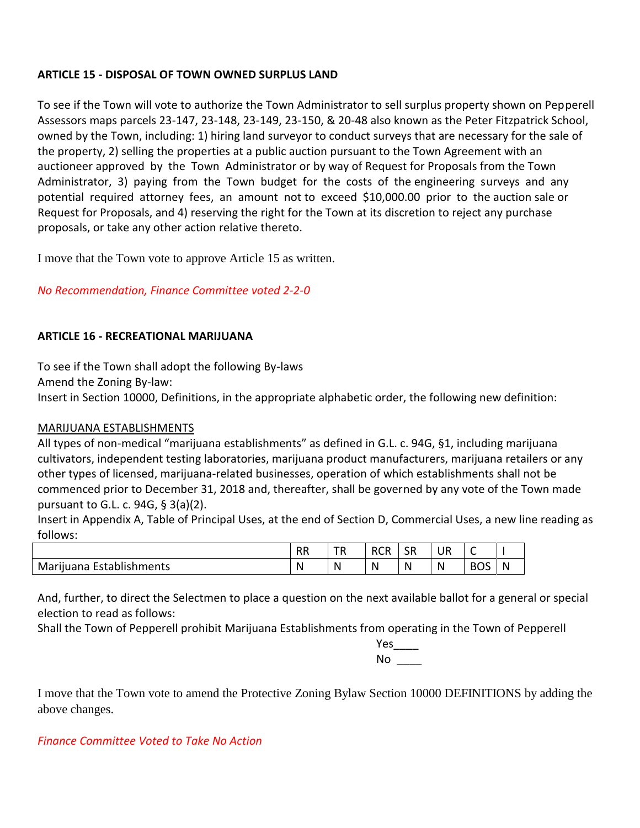## **ARTICLE 15 - DISPOSAL OF TOWN OWNED SURPLUS LAND**

To see if the Town will vote to authorize the Town Administrator to sell surplus property shown on Pepperell Assessors maps parcels 23-147, 23-148, 23-149, 23-150, & 20-48 also known as the Peter Fitzpatrick School, owned by the Town, including: 1) hiring land surveyor to conduct surveys that are necessary for the sale of the property, 2) selling the properties at a public auction pursuant to the Town Agreement with an auctioneer approved by the Town Administrator or by way of Request for Proposals from the Town Administrator, 3) paying from the Town budget for the costs of the engineering surveys and any potential required attorney fees, an amount not to exceed \$10,000.00 prior to the auction sale or Request for Proposals, and 4) reserving the right for the Town at its discretion to reject any purchase proposals, or take any other action relative thereto.

I move that the Town vote to approve Article 15 as written.

## *No Recommendation, Finance Committee voted 2-2-0*

#### **ARTICLE 16 - RECREATIONAL MARIJUANA**

To see if the Town shall adopt the following By-laws Amend the Zoning By-law: Insert in Section 10000, Definitions, in the appropriate alphabetic order, the following new definition:

#### MARIJUANA ESTABLISHMENTS

All types of non-medical "marijuana establishments" as defined in G.L. c. 94G, §1, including marijuana cultivators, independent testing laboratories, marijuana product manufacturers, marijuana retailers or any other types of licensed, marijuana-related businesses, operation of which establishments shall not be commenced prior to December 31, 2018 and, thereafter, shall be governed by any vote of the Town made pursuant to G.L. c. 94G, § 3(a)(2).

Insert in Appendix A, Table of Principal Uses, at the end of Section D, Commercial Uses, a new line reading as follows:

|                          | <b>RR</b> | тn<br>⊥K. | <b>RCR</b> | SR   | UR                  | -          |   |
|--------------------------|-----------|-----------|------------|------|---------------------|------------|---|
| Marijuana Establishments | N         | N         | - N        | - Ni | $\mathbf{N}$<br>. . | <b>BOS</b> | N |

And, further, to direct the Selectmen to place a question on the next available ballot for a general or special election to read as follows:

Shall the Town of Pepperell prohibit Marijuana Establishments from operating in the Town of Pepperell

Yes\_\_\_\_ No \_\_\_\_

I move that the Town vote to amend the Protective Zoning Bylaw Section 10000 DEFINITIONS by adding the above changes.

*Finance Committee Voted to Take No Action*